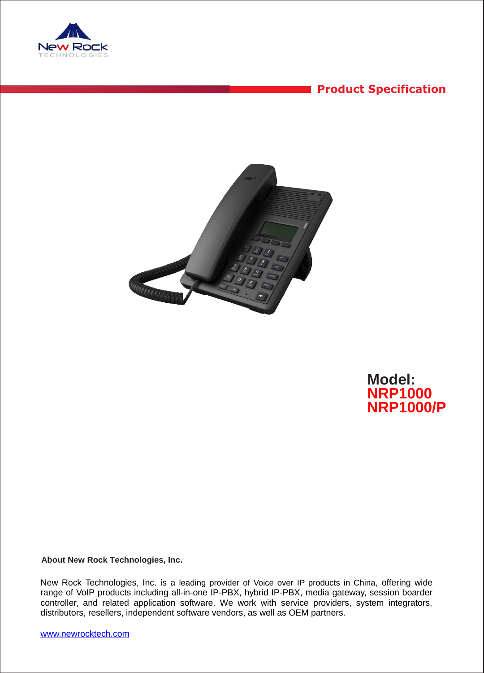

# **Product Specification**



**Model: NRP1000 NRP1000/P**

**About New Rock Technologies, Inc.**

New Rock Technologies, Inc. is a leading provider of Voice over IP products in China, offering wide range of VoIP products including all-in-one IP-PBX, hybrid IP-PBX, media gateway, session boarder controller, and related application software. We work with service providers, system integrators, distributors, resellers, independent software vendors, as well as OEM partners.